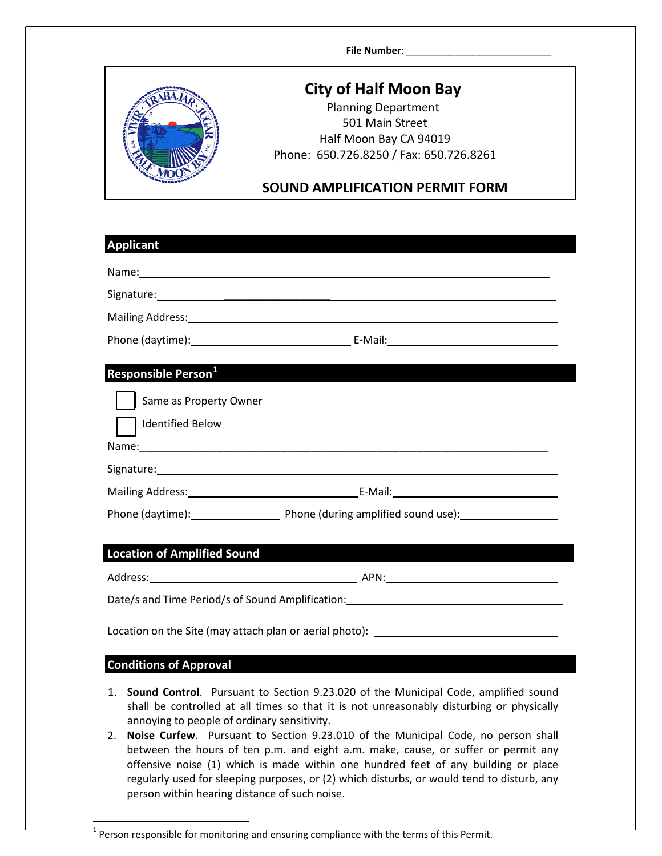**File Number:** 



## **City of Half Moon Bay**

Planning Department 501 Main Street Half Moon Bay CA 94019 Phone: 650.726.8250 / Fax: 650.726.8261

## **SOUND AMPLIFICATION PERMIT FORM**

| <b>Applicant</b>                                                                                                                                                                                                                    |  |  |  |  |
|-------------------------------------------------------------------------------------------------------------------------------------------------------------------------------------------------------------------------------------|--|--|--|--|
|                                                                                                                                                                                                                                     |  |  |  |  |
| Signature: etc. All and the state of the state of the state of the state of the state of the state of the state of the state of the state of the state of the state of the state of the state of the state of the state of the      |  |  |  |  |
|                                                                                                                                                                                                                                     |  |  |  |  |
|                                                                                                                                                                                                                                     |  |  |  |  |
| Responsible Person <sup>1</sup>                                                                                                                                                                                                     |  |  |  |  |
| Same as Property Owner                                                                                                                                                                                                              |  |  |  |  |
| <b>Identified Below</b>                                                                                                                                                                                                             |  |  |  |  |
|                                                                                                                                                                                                                                     |  |  |  |  |
|                                                                                                                                                                                                                                     |  |  |  |  |
|                                                                                                                                                                                                                                     |  |  |  |  |
| Phone (daytime): Thone (during amplified sound use): Thone (during amplified sound use):                                                                                                                                            |  |  |  |  |
|                                                                                                                                                                                                                                     |  |  |  |  |
| <b>Location of Amplified Sound</b>                                                                                                                                                                                                  |  |  |  |  |
|                                                                                                                                                                                                                                     |  |  |  |  |
| Date/s and Time Period/s of Sound Amplification: Date: 2008 2014 12:20:20 20:20:20:20:20:20:20:20:20                                                                                                                                |  |  |  |  |
|                                                                                                                                                                                                                                     |  |  |  |  |
| Location on the Site (may attach plan or aerial photo): ________________________                                                                                                                                                    |  |  |  |  |
| <b>Conditions of Approval</b>                                                                                                                                                                                                       |  |  |  |  |
| Sound Control. Pursuant to Section 9.23.020 of the Municipal Code, amplified sound<br>1.<br>shall be controlled at all times so that it is not unreasonably disturbing or physically<br>annoying to people of ordinary sensitivity. |  |  |  |  |

2. **Noise Curfew**. Pursuant to Section 9.23.010 of the Municipal Code, no person shall between the hours of ten p.m. and eight a.m. make, cause, or suffer or permit any offensive noise (1) which is made within one hundred feet of any building or place regularly used for sleeping purposes, or (2) which disturbs, or would tend to disturb, any person within hearing distance of such noise.

<span id="page-0-0"></span>Person responsible for monitoring and ensuring compliance with the terms of this Permit.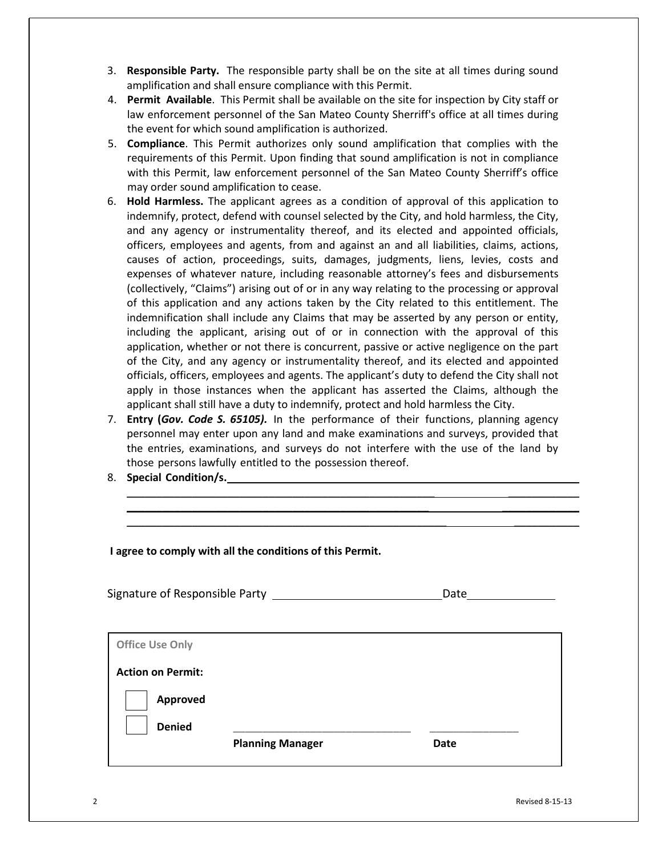- 3. **Responsible Party.** The responsible party shall be on the site at all times during sound amplification and shall ensure compliance with this Permit.
- 4. **Permit Available**. This Permit shall be available on the site for inspection by City staff or law enforcement personnel of the San Mateo County Sherriff's office at all times during the event for which sound amplification is authorized.
- 5. **Compliance**. This Permit authorizes only sound amplification that complies with the requirements of this Permit. Upon finding that sound amplification is not in compliance with this Permit, law enforcement personnel of the San Mateo County Sherriff's office may order sound amplification to cease.
- 6. **Hold Harmless.** The applicant agrees as a condition of approval of this application to indemnify, protect, defend with counsel selected by the City, and hold harmless, the City, and any agency or instrumentality thereof, and its elected and appointed officials, officers, employees and agents, from and against an and all liabilities, claims, actions, causes of action, proceedings, suits, damages, judgments, liens, levies, costs and expenses of whatever nature, including reasonable attorney's fees and disbursements (collectively, "Claims") arising out of or in any way relating to the processing or approval of this application and any actions taken by the City related to this entitlement. The indemnification shall include any Claims that may be asserted by any person or entity, including the applicant, arising out of or in connection with the approval of this application, whether or not there is concurrent, passive or active negligence on the part of the City, and any agency or instrumentality thereof, and its elected and appointed officials, officers, employees and agents. The applicant's duty to defend the City shall not apply in those instances when the applicant has asserted the Claims, although the applicant shall still have a duty to indemnify, protect and hold harmless the City.
- 7. **Entry (***Gov. Code S. 65105).* In the performance of their functions, planning agency personnel may enter upon any land and make examinations and surveys, provided that the entries, examinations, and surveys do not interfere with the use of the land by those persons lawfully entitled to the possession thereof.

\_\_\_\_\_\_\_\_\_\_\_\_\_\_\_\_\_\_\_\_\_\_\_\_\_\_\_\_\_\_\_\_\_\_\_\_\_\_\_\_\_\_\_\_\_\_\_\_\_\_\_\_ \_\_\_\_\_\_\_\_\_\_\_\_ \_\_\_\_\_\_\_\_\_\_\_\_\_\_\_\_\_\_\_\_\_\_\_\_\_\_\_\_\_\_\_\_\_\_\_\_\_\_\_\_\_\_\_\_\_\_\_\_\_\_\_ \_\_\_\_\_\_\_\_\_\_\_\_\_ \_\_\_\_\_\_\_\_\_\_\_\_\_\_\_\_\_\_\_\_\_\_\_\_\_\_\_\_\_\_\_\_\_\_\_\_\_\_\_\_\_\_\_\_\_\_\_\_\_\_\_\_\_\_ \_\_\_\_\_\_\_\_\_\_\_

8. **Special Condition/s.** 

| I agree to comply with all the conditions of this Permit.                                                  |      |  |  |  |
|------------------------------------------------------------------------------------------------------------|------|--|--|--|
|                                                                                                            | Date |  |  |  |
| <b>Office Use Only</b><br><b>Action on Permit:</b><br>Approved<br><b>Denied</b><br><b>Planning Manager</b> | Date |  |  |  |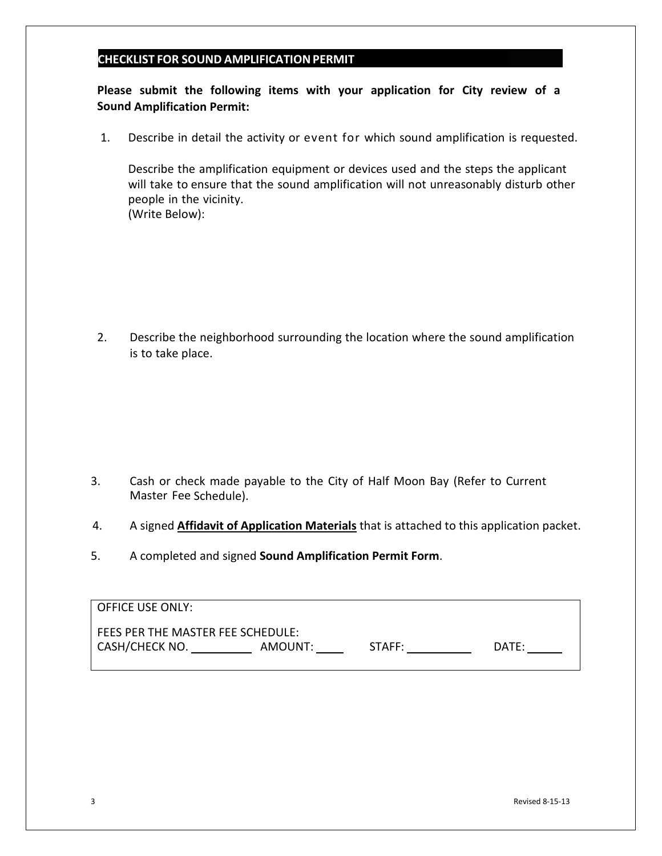## **CHECKLIST FOR SOUND AMPLIFICATIONPERMIT**

**Please submit the following items with your application for City review of a Sound Amplification Permit:**

1. Describe in detail the activity or event for which sound amplification is requested.

Describe the amplification equipment or devices used and the steps the applicant will take to ensure that the sound amplification will not unreasonably disturb other people in the vicinity. (Write Below):

2. Describe the neighborhood surrounding the location where the sound amplification is to take place.

- 3. Cash or check made payable to the City of Half Moon Bay (Refer to Current Master Fee Schedule).
- 4. A signed **Affidavit of Application Materials** that is attached to this application packet.
- 5. A completed and signed **Sound Amplification Permit Form**.

| OFFICE USE ONLY:                  |         |        |       |  |  |
|-----------------------------------|---------|--------|-------|--|--|
| FEES PER THE MASTER FEE SCHEDULE: |         |        |       |  |  |
| <b>CASH/CHECK NO.</b>             | AMOUNT: | STAFF: | DATE: |  |  |